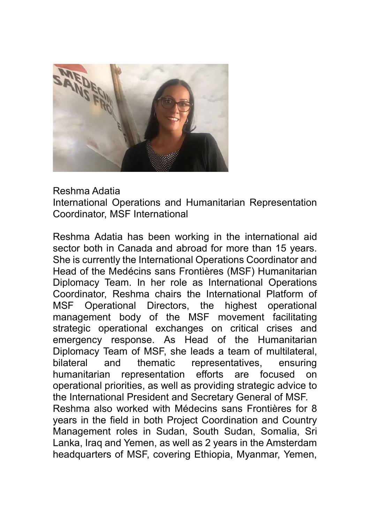

## Reshma Adatia

International Operations and Humanitarian Representation Coordinator, MSF International

Reshma Adatia has been working in the international aid sector both in Canada and abroad for more than 15 years. She is currently the International Operations Coordinator and Head of the Medécins sans Frontières (MSF) Humanitarian Diplomacy Team. In her role as International Operations Coordinator, Reshma chairs the International Platform of MSF Operational Directors, the highest operational management body of the MSF movement facilitating strategic operational exchanges on critical crises and emergency response. As Head of the Humanitarian Diplomacy Team of MSF, she leads a team of multilateral, bilateral and thematic representatives, ensuring humanitarian representation efforts are focused on operational priorities, as well as providing strategic advice to the International President and Secretary General of MSF. Reshma also worked with Médecins sans Frontières for 8 years in the field in both Project Coordination and Country Management roles in Sudan, South Sudan, Somalia, Sri Lanka, Iraq and Yemen, as well as 2 years in the Amsterdam headquarters of MSF, covering Ethiopia, Myanmar, Yemen,